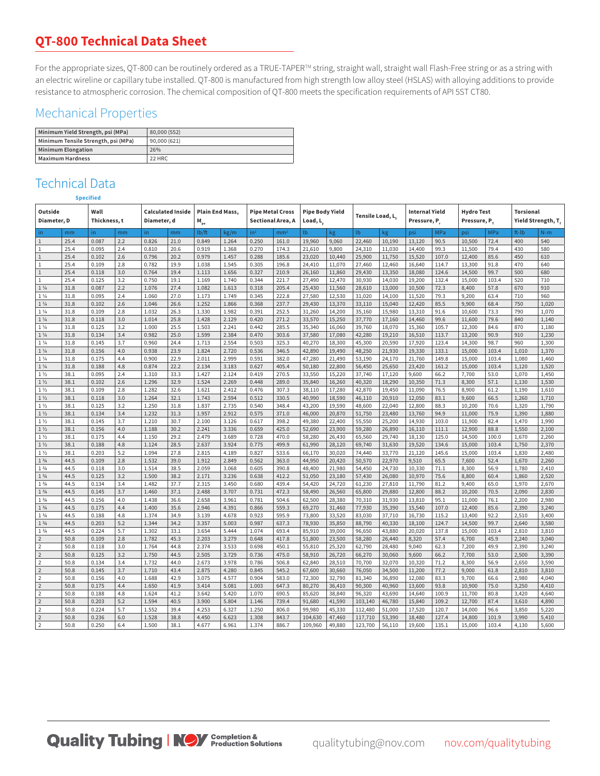## **QT-800 Technical Data Sheet**

For the appropriate sizes, QT-800 can be routinely ordered as a TRUE-TAPER™ string, straight wall, straight wall Flash-Free string or as a string with an electric wireline or capillary tube installed. QT-800 is manufactured from high strength low alloy steel (HSLAS) with alloying additions to provide resistance to atmospheric corrosion. The chemical composition of QT-800 meets the specification requirements of API 5ST CT80.

## Mechanical Properties

| Minimum Yield Strength, psi (MPa)   | 80,000 (552) |
|-------------------------------------|--------------|
| Minimum Tensile Strength, psi (MPa) | 90,000 (621) |
| Minimum Elongation                  | 26%          |
| Maximum Hardness                    | 22 HRC       |

## Technical Data

| Outside<br>Diameter, D                     |              | Wall<br>Thickness, t |            | <b>Calculated Inside</b><br>Diameter, d |              | <b>Plain End Mass,</b><br>$M_{pe}$ |                | <b>Pipe Metal Cross</b><br>Sectional Area, A |                 | <b>Pipe Body Yield</b><br>Load, L |                  | Tensile Load, L. |                  | <b>Internal Yield</b><br>Pressure, P. |                | <b>Hydro Test</b><br>Pressure, P. |               | <b>Torsional</b><br>Yield Strength, T, |                |
|--------------------------------------------|--------------|----------------------|------------|-----------------------------------------|--------------|------------------------------------|----------------|----------------------------------------------|-----------------|-----------------------------------|------------------|------------------|------------------|---------------------------------------|----------------|-----------------------------------|---------------|----------------------------------------|----------------|
| in.                                        | mm           | in.                  | mm         | in.                                     | mm           | lb/ft                              | kg/m           | in <sup>2</sup>                              | mm <sup>2</sup> | $\mathsf{lb}$                     | kg               | lb.              | kg               | psi                                   | MPa            | psi                               | MPa           | ft-Ib                                  | $N-m$          |
| $\mathbf{1}$                               | 25.4         | 0.087                | 2.2        | 0.826                                   | 21.0         | 0.849                              | 1.264          | 0.250                                        | 161.0           | 19,960                            | 9,060            | 22,460           | 10,190           | 13,120                                | 90.5           | 10,500                            | 72.4          | 400                                    | 540            |
| 1                                          | 25.4         | 0.095                | 2.4        | 0.810                                   | 20.6         | 0.919                              | 1.368          | 0.270                                        | 174.3           | 21,610                            | 9,800            | 24,310           | 11,030           | 14,400                                | 99.3           | 11,500                            | 79.4          | 430                                    | 580            |
| $\mathbf{1}$                               | 25.4         | 0.102                | 2.6        | 0.796                                   | 20.2         | 0.979                              | 1.457          | 0.288                                        | 185.6           | 23,020                            | 10,440           | 25,900           | 11,750           | 15,520                                | 107.0          | 12,400                            | 85.6          | 450                                    | 610            |
| 1                                          | 25.4         | 0.109                | 2.8        | 0.782                                   | 19.9         | 1.038                              | 1.545          | 0.305                                        | 196.8           | 24,410                            | 11,070           | 27,460           | 12,460           | 16,640                                | 114.7          | 13,300                            | 91.8          | 470                                    | 640            |
| $\,1$                                      | 25.4         | 0.118                | 3.0        | 0.764                                   | 19.4         | 1.113                              | 1.656          | 0.327                                        | 210.9           | 26,160                            | 11,860           | 29,430           | 13,350           | 18,080                                | 124.6          | 14,500                            | 99.7          | 500                                    | 680            |
| 1                                          | 25.4         | 0.125                | 3.2        | 0.750                                   | 19.1         | 1.169                              | 1.740          | 0.344                                        | 221.7           | 27,490                            | 12,470           | 30,930           | 14,030           | 19,200                                | 132.4          | 15,000                            | 103.4         | 520                                    | 710            |
| $1\frac{1}{4}$                             | 31.8         | 0.087                | 2.2        | 1.076                                   | 27.4         | 1.082                              | 1.613          | 0.318                                        | 205.4           | 25,430                            | 11,560           | 28,610           | 13,000           | 10,500                                | 72.3           | 8,400                             | 57.8          | 670                                    | 910            |
| $1\frac{1}{4}$                             | 31.8         | 0.095                | 2.4        | 1.060                                   | 27.0         | 1.173                              | 1.749          | 0.345                                        | 222.8           | 27,580                            | 12,530           | 31,020           | 14,100           | 11,520                                | 79.3           | 9,200                             | 63.4          | 710                                    | 960            |
| $1\frac{1}{4}$                             | 31.8         | 0.102                | 2.6        | 1.046                                   | 26.6         | 1.252                              | 1.866          | 0.368                                        | 237.7           | 29,430                            | 13,370           | 33,110           | 15,040           | 12,420                                | 85.5           | 9,900                             | 68.4          | 750                                    | 1,020          |
| $1\frac{1}{4}$                             | 31.8         | 0.109                | 2.8        | 1.032                                   | 26.3         | 1.330                              | 1.982          | 0.391                                        | 252.5           | 31,260                            | 14,200           | 35,160           | 15,980           | 13,310                                | 91.6           | 10,600                            | 73.3          | 790                                    | 1,070          |
| $1\frac{1}{4}$                             | 31.8         | 0.118                | 3.0        | 1.014                                   | 25.8         | 1.428                              | 2.129          | 0.420                                        | 271.2           | 33,570                            | 15,250           | 37,770           | 17,160           | 14,460                                | 99.6           | 11,600                            | 79.6          | 840                                    | 1,140          |
| $1\frac{1}{4}$                             | 31.8         | 0.125                | 3.2        | 1.000                                   | 25.5         | 1.503                              | 2.241          | 0.442                                        | 285.5           | 35,340                            | 16,060           | 39,760           | 18,070           | 15,360                                | 105.7          | 12,300                            | 84.6          | 870                                    | 1,180          |
| $1\frac{1}{4}$                             | 31.8         | 0.134                | 3.4        | 0.982                                   | 25.0         | 1.599                              | 2.384          | 0.470                                        | 303.6           | 37,580                            | 17,080           | 42,280           | 19,210           | 16,510                                | 113.7          | 13,200                            | 90.9          | 910                                    | 1,230          |
| $1\frac{1}{4}$                             | 31.8         | 0.145                | 3.7        | 0.960                                   | 24.4         | 1.713                              | 2.554          | 0.503                                        | 325.3           | 40,270                            | 18,300           | 45,300           | 20,590           | 17,920                                | 123.4          | 14,300                            | 98.7<br>103.4 | 960                                    | 1,300          |
| $1\frac{1}{4}$<br>$1\frac{1}{4}$           | 31.8<br>31.8 | 0.156<br>0.175       | 4.0<br>4.4 | 0.938<br>0.900                          | 23.9<br>22.9 | 1.824<br>2.011                     | 2.720<br>2.999 | 0.536<br>0.591                               | 346.5<br>382.0  | 42,890<br>47,280                  | 19,490           | 48,250           | 21,930           | 19,330                                | 133.1<br>149.8 | 15,000                            | 103.4         | 1,010<br>1,080                         | 1,370<br>1,460 |
| $1\frac{1}{4}$                             | 31.8         | 0.188                | 4.8        | 0.874                                   | 22.2         | 2.134                              | 3.183          | 0.627                                        | 405.4           | 50,180                            | 21,490<br>22,800 | 53,190<br>56,450 | 24,170<br>25,650 | 21,760<br>23,420                      | 161.2          | 15,000<br>15,000                  | 103.4         | 1,120                                  | 1,520          |
| $1\frac{1}{2}$                             | 38.1         | 0.095                | 2.4        | 1.310                                   | 33.3         | 1.427                              | 2.124          | 0.419                                        | 270.5           | 33,550                            | 15,220           | 37,740           | 17,120           | 9,600                                 | 66.2           | 7,700                             | 53.0          | 1,070                                  | 1,450          |
| $1\frac{1}{2}$                             | 38.1         | 0.102                | 2.6        | 1.296                                   | 32.9         | 1.524                              | 2.269          | 0.448                                        | 289.0           | 35,840                            | 16,260           | 40,320           | 18,290           | 10,350                                | 71.3           | 8,300                             | 57.1          | 1,130                                  | 1,530          |
| 1 <sub>2</sub>                             | 38.1         | 0.109                | 2.8        | 1.282                                   | 32.6         | 1.621                              | 2.412          | 0.476                                        | 307.3           | 38,110                            | 17,280           | 42,870           | 19,450           | 11,090                                | 76.5           | 8,900                             | 61.2          | 1,190                                  | 1,610          |
| $1\frac{1}{2}$                             | 38.1         | 0.118                | 3.0        | 1.264                                   | 32.1         | 1.743                              | 2.594          | 0.512                                        | 330.5           | 40,990                            | 18,590           | 46,110           | 20,910           | 12,050                                | 83.1           | 9,600                             | 66.5          | 1,260                                  | 1,710          |
| $1\frac{1}{2}$                             | 38.1         | 0.125                | 3.2        | 1.250                                   | 31.8         | 1.837                              | 2.735          | 0.540                                        | 348.4           | 43,200                            | 19,590           | 48,600           | 22,040           | 12,800                                | 88.3           | 10,200                            | 70.6          | 1,320                                  | 1,790          |
| $1\frac{1}{2}$                             | 38.1         | 0.134                | 3.4        | 1.232                                   | 31.3         | 1.957                              | 2.912          | 0.575                                        | 371.0           | 46,000                            | 20,870           | 51,750           | 23,480           | 13,760                                | 94.9           | 11,000                            | 75.9          | 1,390                                  | 1,880          |
| $1\frac{1}{2}$                             | 38.1         | 0.145                | 3.7        | 1.210                                   | 30.7         | 2.100                              | 3.126          | 0.617                                        | 398.2           | 49,380                            | 22,400           | 55,550           | 25,200           | 14,930                                | 103.0          | 11,900                            | 82.4          | 1,470                                  | 1,990          |
| 1 <sub>2</sub>                             | 38.1         | 0.156                | 4.0        | 1.188                                   | 30.2         | 2.241                              | 3.336          | 0.659                                        | 425.0           | 52,690                            | 23,900           | 59,280           | 26,890           | 16,110                                | 111.1          | 12,900                            | 88.8          | 1,550                                  | 2,100          |
| $1\frac{1}{2}$                             | 38.1         | 0.175                | 4.4        | 1.150                                   | 29.2         | 2.479                              | 3.689          | 0.728                                        | 470.0           | 58,280                            | 26,430           | 65,560           | 29,740           | 18,130                                | 125.0          | 14,500                            | 100.0         | 1,670                                  | 2,260          |
| $1\frac{1}{2}$                             | 38.1         | 0.188                | 4.8        | 1.124                                   | 28.5         | 2.637                              | 3.924          | 0.775                                        | 499.9           | 61,990                            | 28,120           | 69,740           | 31,630           | 19,520                                | 134.6          | 15,000                            | 103.4         | 1,750                                  | 2,370          |
| 1 <sub>2</sub>                             | 38.1         | 0.203                | 5.2        | 1.094                                   | 27.8         | 2.815                              | 4.189          | 0.827                                        | 533.6           | 66,170                            | 30,020           | 74,440           | 33,770           | 21,120                                | 145.6          | 15,000                            | 103.4         | 1,830                                  | 2,480          |
| $1 \frac{3}{4}$                            | 44.5         | 0.109                | 2.8        | 1.532                                   | 39.0         | 1.912                              | 2.849          | 0.562                                        | 363.0           | 44,950                            | 20,420           | 50,570           | 22,970           | 9,510                                 | 65.5           | 7,600                             | 52.4          | 1,670                                  | 2,260          |
| $1 \frac{3}{4}$                            | 44.5         | 0.118                | 3.0        | 1.514                                   | 38.5         | 2.059                              | 3.068          | 0.605                                        | 390.8           | 48,400                            | 21,980           | 54,450           | 24,730           | 10,330                                | 71.1           | 8,300                             | 56.9          | 1,780                                  | 2,410          |
| $1 \frac{3}{4}$                            | 44.5         | 0.125                | 3.2        | 1.500                                   | 38.2         | 2.171                              | 3.236          | 0.638                                        | 412.2           | 51,050                            | 23,180           | 57,430           | 26,080           | 10,970                                | 75.6           | 8,800                             | 60.4          | 1,860                                  | 2,520          |
| $1 \frac{3}{4}$                            | 44.5         | 0.134                | 3.4        | 1.482                                   | 37.7         | 2.315                              | 3.450          | 0.680                                        | 439.4           | 54,420                            | 24,720           | 61,230           | 27,810           | 11,790                                | 81.2           | 9,400                             | 65.0          | 1,970                                  | 2,670          |
| $1 \frac{3}{4}$                            | 44.5         | 0.145                | 3.7        | 1.460                                   | 37.1         | 2.488                              | 3.707          | 0.731                                        | 472.3           | 58,490                            | 26,560           | 65,800           | 29,880           | 12,800                                | 88.2           | 10,200                            | 70.5          | 2,090                                  | 2,830          |
| $1 \frac{3}{4}$                            | 44.5         | 0.156                | 4.0        | 1.438                                   | 36.6         | 2.658                              | 3.961          | 0.781                                        | 504.6           | 62,500                            | 28,380           | 70,310           | 31,930           | 13,810                                | 95.1           | 11,000                            | 76.1          | 2,200                                  | 2,980          |
| $1 \frac{3}{4}$                            | 44.5         | 0.175                | 4.4        | 1.400                                   | 35.6         | 2.946                              | 4.391          | 0.866                                        | 559.3           | 69,270                            | 31,460           | 77,930           | 35,390           | 15,540                                | 107.0          | 12,400                            | 85.6          | 2,390                                  | 3,240          |
| $1 \frac{3}{4}$                            | 44.5         | 0.188                | 4.8        | 1.374                                   | 34.9         | 3.139                              | 4.678          | 0.923                                        | 595.9           | 73,800                            | 33,520           | 83,030           | 37,710           | 16,730                                | 115.2          | 13,400                            | 92.2          | 2,510                                  | 3,400          |
| $1 \frac{3}{4}$                            | 44.5         | 0.203                | 5.2        | 1.344                                   | 34.2         | 3.357                              | 5.003          | 0.987                                        | 637.3           | 78,930                            | 35,850           | 88,790           | 40,330           | 18,100                                | 124.7          | 14,500                            | 99.7          | 2,640                                  | 3,580          |
| 13/4                                       | 44.5         | 0.224                | 5.7        | 1.302                                   | 33.1         | 3.654                              | 5.444          | 1.074                                        | 693.4           | 85,910                            | 39,000           | 96,650           | 43,880           | 20,020                                | 137.8          | 15,000                            | 103.4         | 2,810                                  | 3,810          |
| $\overline{2}$                             | 50.8         | 0.109                | 2.8        | 1.782                                   | 45.3         | 2.203                              | 3.279          | 0.648                                        | 417.8           | 51,800                            | 23,500           | 58,280           | 26,440           | 8,320                                 | 57.4           | 6,700                             | 45.9          | 2,240                                  | 3,040          |
| $\overline{2}$                             | 50.8         | 0.118                | 3.0        | 1.764                                   | 44.8         | 2.374                              | 3.533          | 0.698                                        | 450.1           | 55,810                            | 25,320           | 62,790           | 28,480           | 9,040                                 | 62.3           | 7,200                             | 49.9          | 2,390                                  | 3,240          |
| $\overline{2}$                             | 50.8         | 0.125<br>0.134       | 3.2        | 1.750                                   | 44.5         | 2.505                              | 3.729          | 0.736                                        | 475.0           | 58,910                            | 26,720           | 66,270           | 30,060           | 9,600                                 | 66.2           | 7,700                             | 53.0<br>56.9  | 2,500                                  | 3,390          |
| $\overline{2}$<br>$\overline{\phantom{0}}$ | 50.8<br>50.8 | 0.145                | 3.4<br>3.7 | 1.732<br>1.710                          | 44.0         | 2.673<br>2.875                     | 3.978<br>4.280 | 0.786<br>0.845                               | 506.8<br>545.2  | 62,840                            | 28,510           | 70,700           | 32,070           | 10,320<br>11,200                      | 71.2<br>77.2   | 8,300                             | 61.8          | 2,650<br>2,810                         | 3,590          |
| $\overline{2}$                             | 50.8         | 0.156                | 4.0        | 1.688                                   | 43.4<br>42.9 | 3.075                              | 4.577          | 0.904                                        | 583.0           | 67,600<br>72,300                  | 30,660<br>32,790 | 76,050<br>81,340 | 34,500<br>36,890 | 12,080                                | 83.3           | 9,000<br>9,700                    | 66.6          | 2,980                                  | 3,810<br>4,040 |
| $\overline{2}$                             | 50.8         | 0.175                | 4.4        | 1.650                                   | 41.9         | 3.414                              | 5.081          | 1.003                                        | 647.3           | 80,270                            | 36,410           | 90,300           | 40,960           | 13,600                                | 93.8           | 10,900                            | 75.0          | 3,250                                  | 4,410          |
| $\overline{\phantom{0}}$                   | 50.8         | 0.188                | 4.8        | 1.624                                   | 41.2         | 3.642                              | 5.420          | 1.070                                        | 690.5           | 85,620                            | 38,840           | 96,320           | 43,690           | 14,640                                | 100.9          | 11,700                            | 80.8          | 3,420                                  | 4,640          |
| $\overline{2}$                             | 50.8         | 0.203                | 5.2        | 1.594                                   | 40.5         | 3.900                              | 5.804          | 1.146                                        | 739.4           | 91,680                            | 41,590           | 103,140          | 46,780           | 15,840                                | 109.2          | 12,700                            | 87.4          | 3,610                                  | 4,890          |
| $\overline{2}$                             | 50.8         | 0.224                | 5.7        | 1.552                                   | 39.4         | 4.253                              | 6.327          | 1.250                                        | 806.0           | 99,980                            | 45,330           | 112,480          | 51,000           | 17,520                                | 120.7          | 14,000                            | 96.6          | 3,850                                  | 5,220          |
| $\overline{2}$                             | 50.8         | 0.236                | 6.0        | 1.528                                   | 38.8         | 4.450                              | 6.623          | 1.308                                        | 843.7           | 104,630                           | 47,460           | 117,710          | 53,390           | 18,480                                | 127.4          | 14,800                            | 101.9         | 3,990                                  | 5,410          |
| $\overline{2}$                             | 50.8         | 0.250                | 6.4        | 1.500                                   | 38.1         | 4.677                              | 6.961          | 1.374                                        | 886.7           | 109,960                           | 49,880           | 123,700          | 56,110           | 19,600                                | 135.1          | 15,000                            | 103.4         | 4,130                                  | 5,600          |